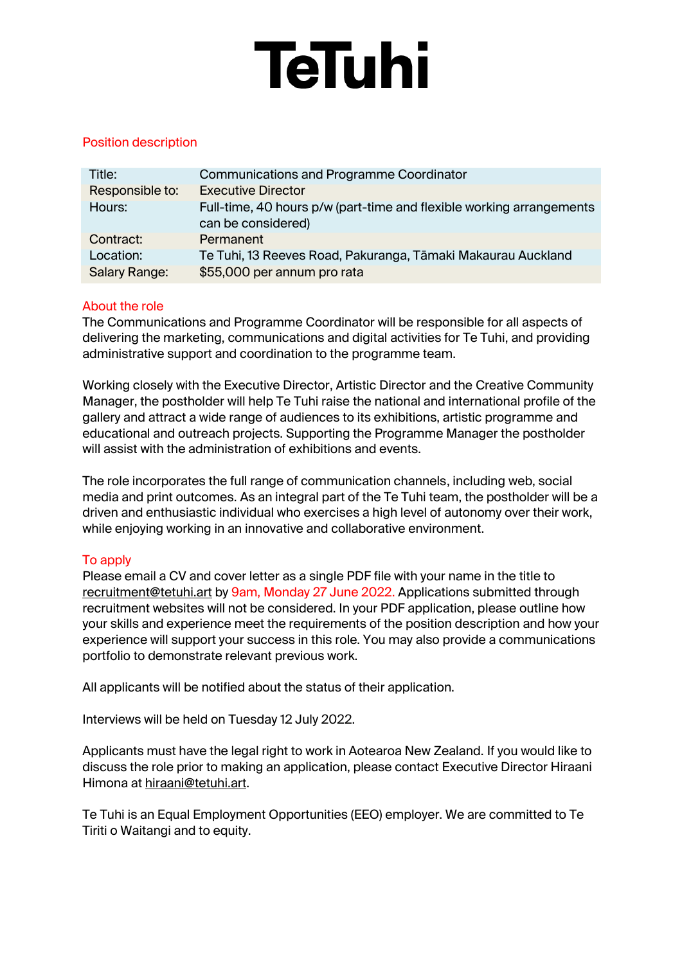# **TeTuhi**

## Position description

| Title:          | <b>Communications and Programme Coordinator</b>                                            |
|-----------------|--------------------------------------------------------------------------------------------|
| Responsible to: | <b>Executive Director</b>                                                                  |
| Hours:          | Full-time, 40 hours p/w (part-time and flexible working arrangements<br>can be considered) |
| Contract:       | Permanent                                                                                  |
| Location:       | Te Tuhi, 13 Reeves Road, Pakuranga, Tāmaki Makaurau Auckland                               |
| Salary Range:   | \$55,000 per annum pro rata                                                                |

## About the role

The Communications and Programme Coordinator will be responsible for all aspects of delivering the marketing, communications and digital activities for Te Tuhi, and providing administrative support and coordination to the programme team.

Working closely with the Executive Director, Artistic Director and the Creative Community Manager, the postholder will help Te Tuhi raise the national and international profile of the gallery and attract a wide range of audiences to its exhibitions, artistic programme and educational and outreach projects. Supporting the Programme Manager the postholder will assist with the administration of exhibitions and events.

The role incorporates the full range of communication channels, including web, social media and print outcomes. As an integral part of the Te Tuhi team, the postholder will be a driven and enthusiastic individual who exercises a high level of autonomy over their work, while enjoying working in an innovative and collaborative environment.

## To apply

Please email a CV and cover letter as a single PDF file with your name in the title to [recruitment@tetuhi.art](mailto:recruitment@tetuhi.art) by 9am, Monday 27 June 2022. Applications submitted through recruitment websites will not be considered. In your PDF application, please outline how your skills and experience meet the requirements of the position description and how your experience will support your success in this role. You may also provide a communications portfolio to demonstrate relevant previous work.

All applicants will be notified about the status of their application.

Interviews will be held on Tuesday 12 July 2022.

Applicants must have the legal right to work in Aotearoa New Zealand. If you would like to discuss the role prior to making an application, please contact Executive Director Hiraani Himona a[t hiraani@tetuhi.art.](mailto:hiraani@tetuhi.art)

Te Tuhi is an Equal Employment Opportunities (EEO) employer. We are committed to Te Tiriti o Waitangi and to equity.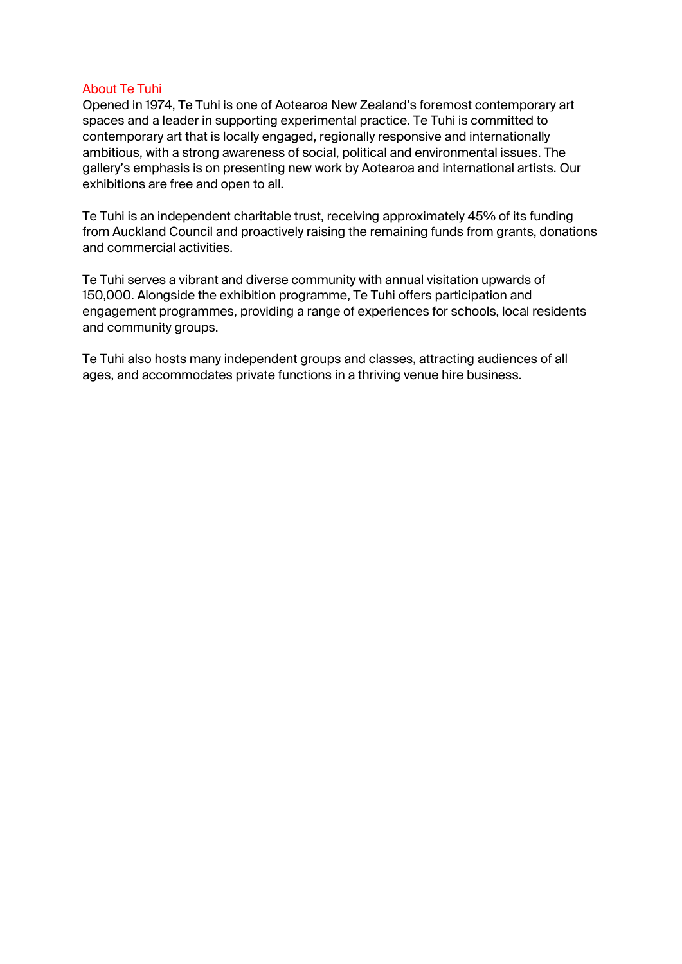#### About Te Tuhi

Opened in 1974, Te Tuhi is one of Aotearoa New Zealand's foremost contemporary art spaces and a leader in supporting experimental practice. Te Tuhi is committed to contemporary art that is locally engaged, regionally responsive and internationally ambitious, with a strong awareness of social, political and environmental issues. The gallery's emphasis is on presenting new work by Aotearoa and international artists. Our exhibitions are free and open to all.

Te Tuhi is an independent charitable trust, receiving approximately 45% of its funding from Auckland Council and proactively raising the remaining funds from grants, donations and commercial activities.

Te Tuhi serves a vibrant and diverse community with annual visitation upwards of 150,000. Alongside the exhibition programme, Te Tuhi offers participation and engagement programmes, providing a range of experiences for schools, local residents and community groups.

Te Tuhi also hosts many independent groups and classes, attracting audiences of all ages, and accommodates private functions in a thriving venue hire business.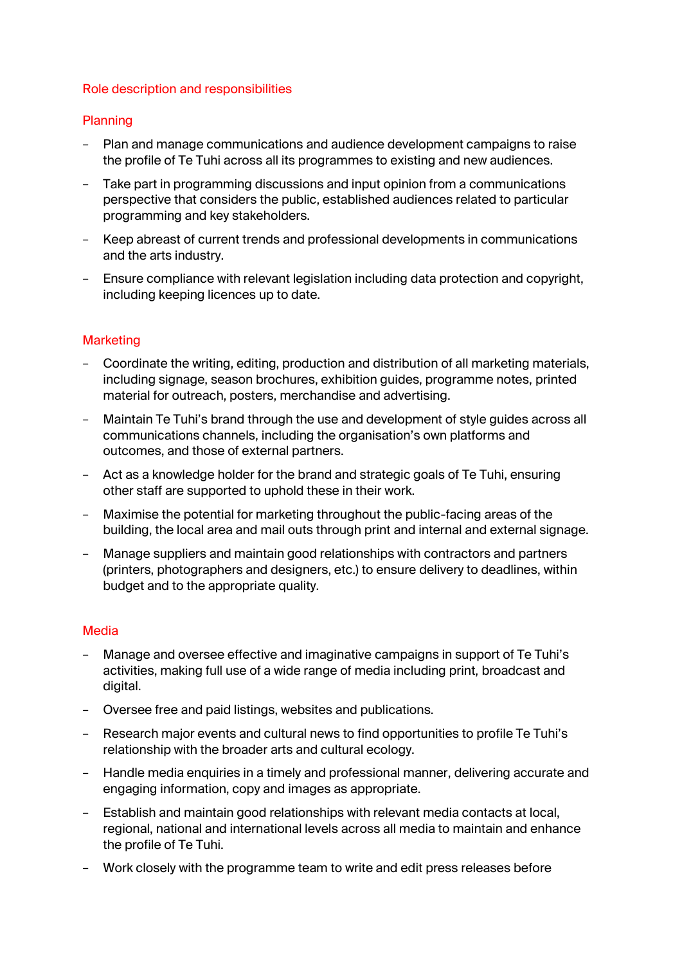#### Role description and responsibilities

#### Planning

- − Plan and manage communications and audience development campaigns to raise the profile of Te Tuhi across all its programmes to existing and new audiences.
- − Take part in programming discussions and input opinion from a communications perspective that considers the public, established audiences related to particular programming and key stakeholders.
- − Keep abreast of current trends and professional developments in communications and the arts industry.
- − Ensure compliance with relevant legislation including data protection and copyright, including keeping licences up to date.

#### **Marketing**

- − Coordinate the writing, editing, production and distribution of all marketing materials, including signage, season brochures, exhibition guides, programme notes, printed material for outreach, posters, merchandise and advertising.
- − Maintain Te Tuhi's brand through the use and development of style guides across all communications channels, including the organisation's own platforms and outcomes, and those of external partners.
- − Act as a knowledge holder for the brand and strategic goals of Te Tuhi, ensuring other staff are supported to uphold these in their work.
- − Maximise the potential for marketing throughout the public-facing areas of the building, the local area and mail outs through print and internal and external signage.
- − Manage suppliers and maintain good relationships with contractors and partners (printers, photographers and designers, etc.) to ensure delivery to deadlines, within budget and to the appropriate quality.

#### Media

- − Manage and oversee effective and imaginative campaigns in support of Te Tuhi's activities, making full use of a wide range of media including print, broadcast and digital.
- − Oversee free and paid listings, websites and publications.
- − Research major events and cultural news to find opportunities to profile Te Tuhi's relationship with the broader arts and cultural ecology.
- − Handle media enquiries in a timely and professional manner, delivering accurate and engaging information, copy and images as appropriate.
- − Establish and maintain good relationships with relevant media contacts at local, regional, national and international levels across all media to maintain and enhance the profile of Te Tuhi.
- − Work closely with the programme team to write and edit press releases before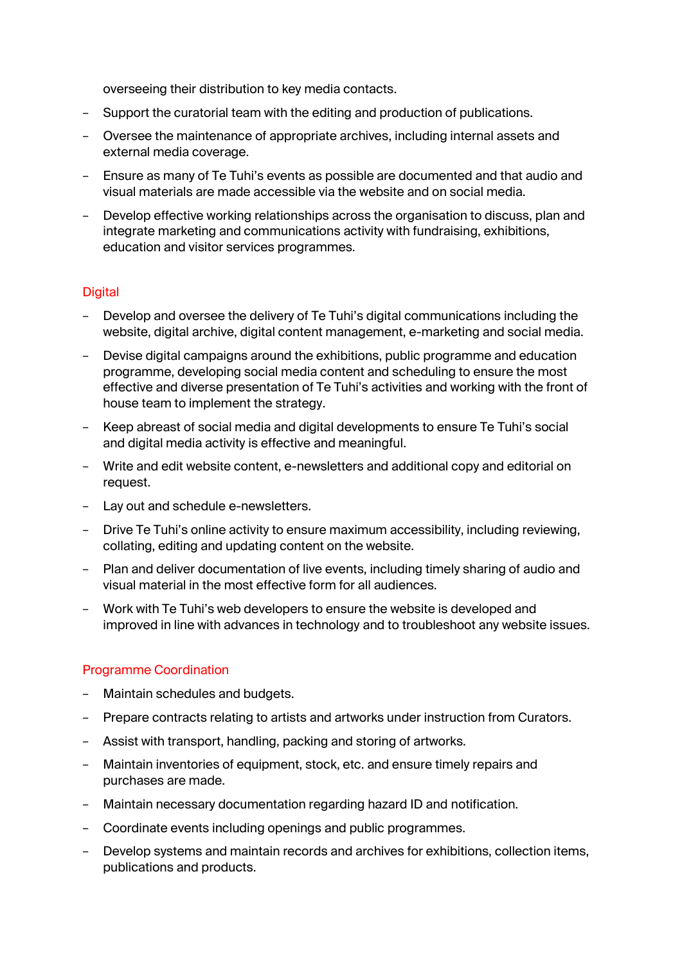overseeing their distribution to key media contacts.

- Support the curatorial team with the editing and production of publications.
- − Oversee the maintenance of appropriate archives, including internal assets and external media coverage.
- − Ensure as many of Te Tuhi's events as possible are documented and that audio and visual materials are made accessible via the website and on social media.
- − Develop effective working relationships across the organisation to discuss, plan and integrate marketing and communications activity with fundraising, exhibitions, education and visitor services programmes.

## **Digital**

- Develop and oversee the delivery of Te Tuhi's digital communications including the website, digital archive, digital content management, e-marketing and social media.
- − Devise digital campaigns around the exhibitions, public programme and education programme, developing social media content and scheduling to ensure the most effective and diverse presentation of Te Tuhi's activities and working with the front of house team to implement the strategy.
- − Keep abreast of social media and digital developments to ensure Te Tuhi's social and digital media activity is effective and meaningful.
- − Write and edit website content, e-newsletters and additional copy and editorial on request.
- − Lay out and schedule e-newsletters.
- Drive Te Tuhi's online activity to ensure maximum accessibility, including reviewing, collating, editing and updating content on the website.
- − Plan and deliver documentation of live events, including timely sharing of audio and visual material in the most effective form for all audiences.
- − Work with Te Tuhi's web developers to ensure the website is developed and improved in line with advances in technology and to troubleshoot any website issues.

#### Programme Coordination

- − Maintain schedules and budgets.
- − Prepare contracts relating to artists and artworks under instruction from Curators.
- − Assist with transport, handling, packing and storing of artworks.
- − Maintain inventories of equipment, stock, etc. and ensure timely repairs and purchases are made.
- − Maintain necessary documentation regarding hazard ID and notification.
- − Coordinate events including openings and public programmes.
- Develop systems and maintain records and archives for exhibitions, collection items, publications and products.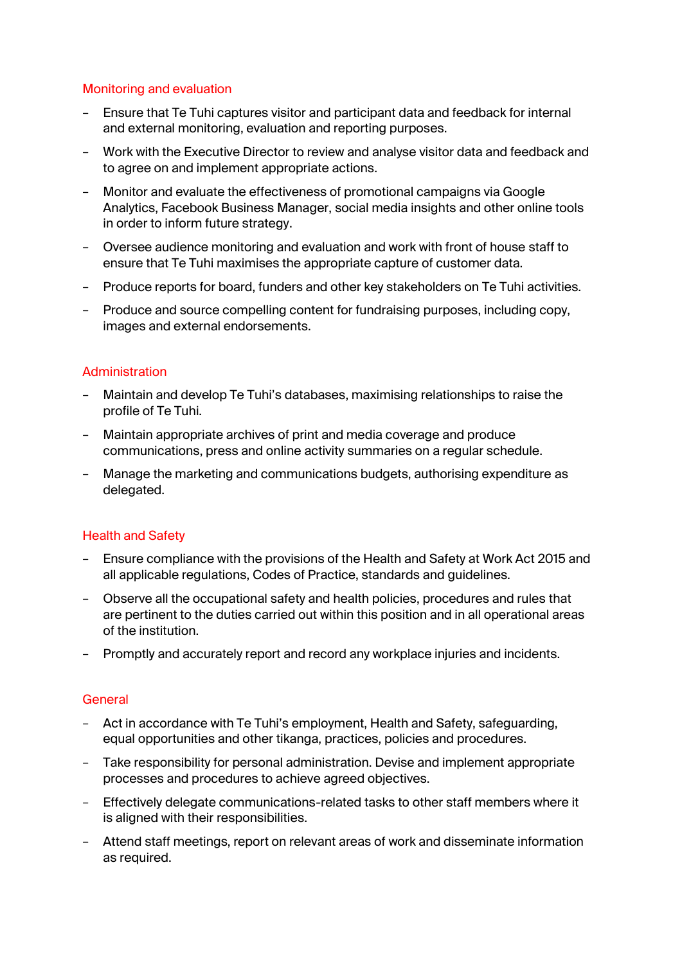## Monitoring and evaluation

- − Ensure that Te Tuhi captures visitor and participant data and feedback for internal and external monitoring, evaluation and reporting purposes.
- − Work with the Executive Director to review and analyse visitor data and feedback and to agree on and implement appropriate actions.
- − Monitor and evaluate the effectiveness of promotional campaigns via Google Analytics, Facebook Business Manager, social media insights and other online tools in order to inform future strategy.
- − Oversee audience monitoring and evaluation and work with front of house staff to ensure that Te Tuhi maximises the appropriate capture of customer data.
- − Produce reports for board, funders and other key stakeholders on Te Tuhi activities.
- − Produce and source compelling content for fundraising purposes, including copy, images and external endorsements.

## Administration

- − Maintain and develop Te Tuhi's databases, maximising relationships to raise the profile of Te Tuhi.
- − Maintain appropriate archives of print and media coverage and produce communications, press and online activity summaries on a regular schedule.
- − Manage the marketing and communications budgets, authorising expenditure as delegated.

## Health and Safety

- − Ensure compliance with the provisions of the Health and Safety at Work Act 2015 and all applicable regulations, Codes of Practice, standards and guidelines.
- − Observe all the occupational safety and health policies, procedures and rules that are pertinent to the duties carried out within this position and in all operational areas of the institution.
- − Promptly and accurately report and record any workplace injuries and incidents.

## **General**

- − Act in accordance with Te Tuhi's employment, Health and Safety, safeguarding, equal opportunities and other tikanga, practices, policies and procedures.
- − Take responsibility for personal administration. Devise and implement appropriate processes and procedures to achieve agreed objectives.
- − Effectively delegate communications-related tasks to other staff members where it is aligned with their responsibilities.
- − Attend staff meetings, report on relevant areas of work and disseminate information as required.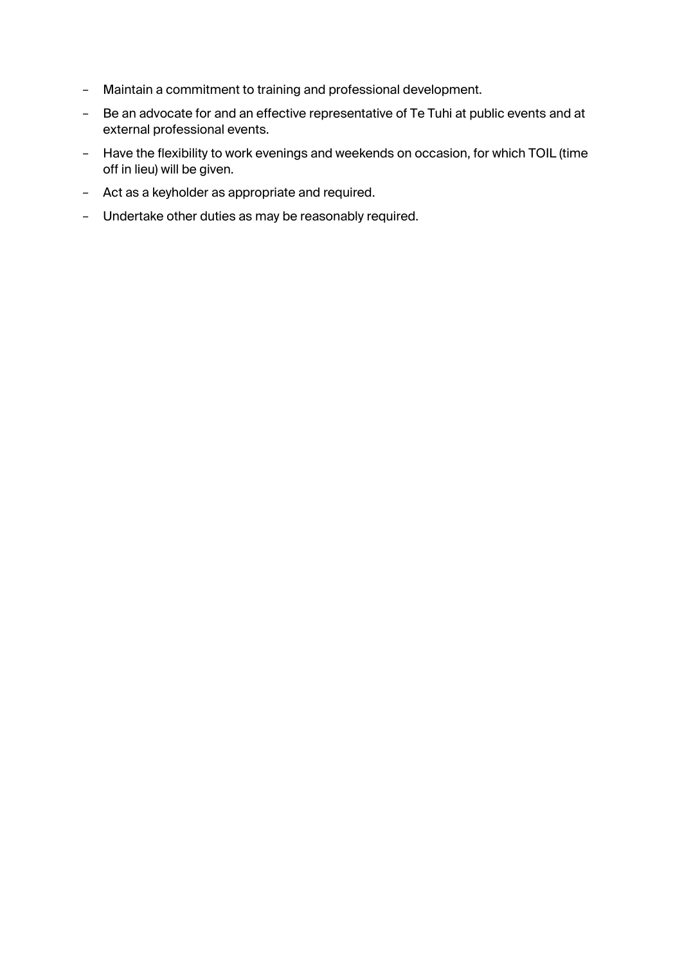- − Maintain a commitment to training and professional development.
- − Be an advocate for and an effective representative of Te Tuhi at public events and at external professional events.
- − Have the flexibility to work evenings and weekends on occasion, for which TOIL (time off in lieu) will be given.
- − Act as a keyholder as appropriate and required.
- − Undertake other duties as may be reasonably required.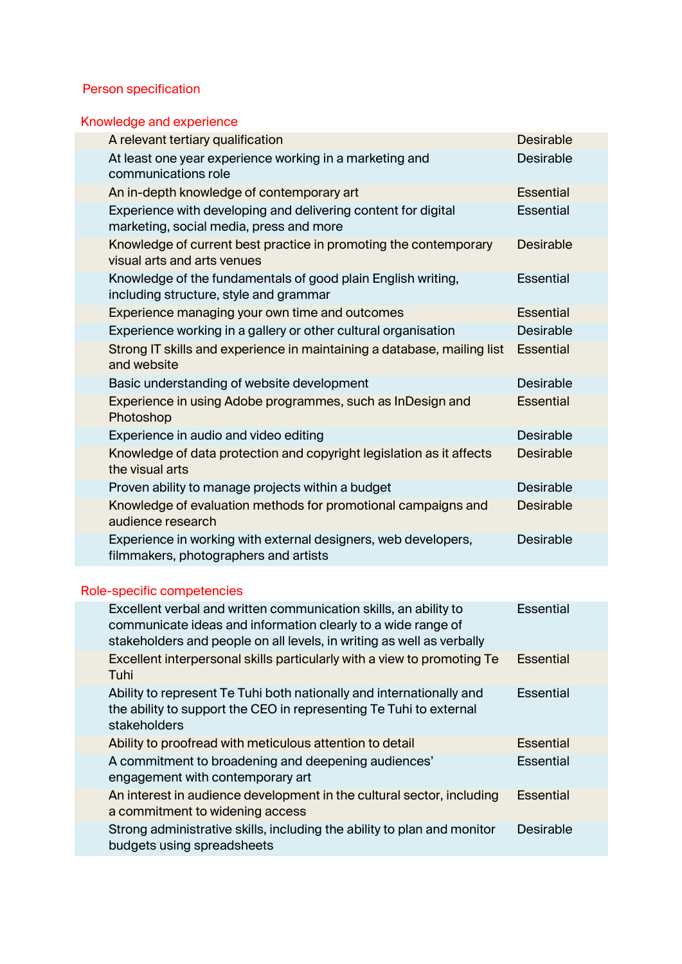# Person specification

# Knowledge and experience

|                            | A relevant tertiary qualification                                                                        | <b>Desirable</b> |  |
|----------------------------|----------------------------------------------------------------------------------------------------------|------------------|--|
|                            | At least one year experience working in a marketing and<br>communications role                           | <b>Desirable</b> |  |
|                            | An in-depth knowledge of contemporary art                                                                | <b>Essential</b> |  |
|                            | Experience with developing and delivering content for digital<br>marketing, social media, press and more | <b>Essential</b> |  |
|                            | Knowledge of current best practice in promoting the contemporary<br>visual arts and arts venues          | <b>Desirable</b> |  |
|                            | Knowledge of the fundamentals of good plain English writing,<br>including structure, style and grammar   | <b>Essential</b> |  |
|                            | Experience managing your own time and outcomes                                                           | <b>Essential</b> |  |
|                            | Experience working in a gallery or other cultural organisation                                           | <b>Desirable</b> |  |
|                            | Strong IT skills and experience in maintaining a database, mailing list<br>and website                   | <b>Essential</b> |  |
|                            | Basic understanding of website development                                                               | <b>Desirable</b> |  |
|                            | Experience in using Adobe programmes, such as InDesign and<br>Photoshop                                  | <b>Essential</b> |  |
|                            | Experience in audio and video editing                                                                    | <b>Desirable</b> |  |
|                            | Knowledge of data protection and copyright legislation as it affects<br>the visual arts                  | <b>Desirable</b> |  |
|                            | Proven ability to manage projects within a budget                                                        | <b>Desirable</b> |  |
|                            | Knowledge of evaluation methods for promotional campaigns and<br>audience research                       | <b>Desirable</b> |  |
|                            | Experience in working with external designers, web developers,<br>filmmakers, photographers and artists  | <b>Desirable</b> |  |
|                            |                                                                                                          |                  |  |
| Role-specific competencies |                                                                                                          |                  |  |

| Excellent verbal and written communication skills, an ability to<br>communicate ideas and information clearly to a wide range of<br>stakeholders and people on all levels, in writing as well as verbally | <b>Essential</b> |
|-----------------------------------------------------------------------------------------------------------------------------------------------------------------------------------------------------------|------------------|
| Excellent interpersonal skills particularly with a view to promoting Te<br>Tuhi                                                                                                                           | <b>Essential</b> |
| Ability to represent Te Tuhi both nationally and internationally and<br>the ability to support the CEO in representing Te Tuhi to external<br>stakeholders                                                | Essential        |
| Ability to proofread with meticulous attention to detail                                                                                                                                                  | Essential        |
| A commitment to broadening and deepening audiences'<br>engagement with contemporary art                                                                                                                   | <b>Essential</b> |
| An interest in audience development in the cultural sector, including<br>a commitment to widening access                                                                                                  | <b>Essential</b> |
| Strong administrative skills, including the ability to plan and monitor<br>budgets using spreadsheets                                                                                                     | <b>Desirable</b> |